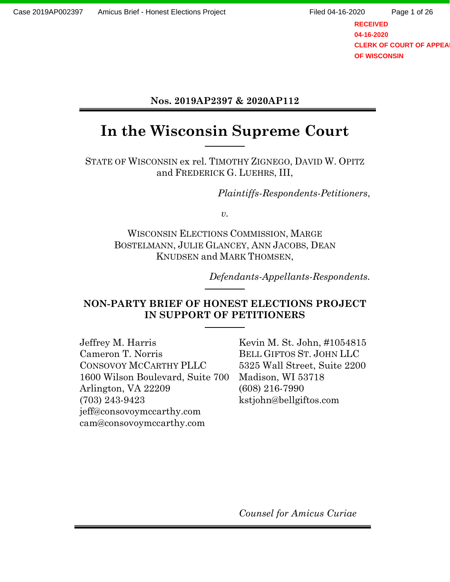**RECEIVED 04-16-2020 CLERK OF COURT OF APPEA OF WISCONSIN**

### **Nos. 2019AP2397 & 2020AP112**

# **In the Wisconsin Supreme Court**

STATE OF WISCONSIN ex rel. TIMOTHY ZIGNEGO, DAVID W. OPITZ and FREDERICK G. LUEHRS, III,

*Plaintiffs-Respondents-Petitioners*,

*v.*

WISCONSIN ELECTIONS COMMISSION, MARGE BOSTELMANN, JULIE GLANCEY, ANN JACOBS, DEAN KNUDSEN and MARK THOMSEN,

*Defendants-Appellants-Respondents.*

### **NON-PARTY BRIEF OF HONEST ELECTIONS PROJECT IN SUPPORT OF PETITIONERS**

Jeffrey M. Harris Cameron T. Norris CONSOVOY MCCARTHY PLLC 1600 Wilson Boulevard, Suite 700 Arlington, VA 22209 (703) 243-9423 jeff@consovoymccarthy.com cam@consovoymccarthy.com

Kevin M. St. John, #1054815 BELL GIFTOS ST. JOHN LLC 5325 Wall Street, Suite 2200 Madison, WI 53718 (608) 216-7990 kstjohn@bellgiftos.com

*Counsel for Amicus Curiae*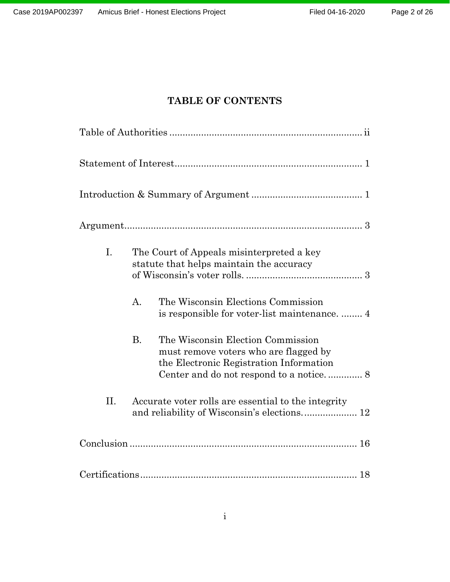### **TABLE OF CONTENTS**

| I.  | The Court of Appeals misinterpreted a key<br>statute that helps maintain the accuracy                                                                                         |
|-----|-------------------------------------------------------------------------------------------------------------------------------------------------------------------------------|
|     | The Wisconsin Elections Commission<br>A.                                                                                                                                      |
|     | <b>B.</b><br>The Wisconsin Election Commission<br>must remove voters who are flagged by<br>the Electronic Registration Information<br>Center and do not respond to a notice 8 |
| II. | Accurate voter rolls are essential to the integrity                                                                                                                           |
|     |                                                                                                                                                                               |
|     |                                                                                                                                                                               |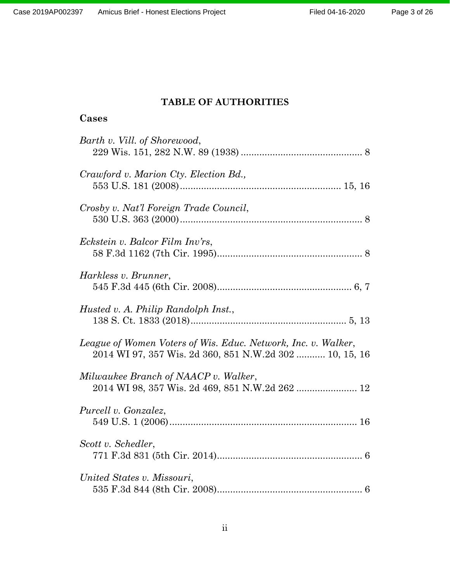### **TABLE OF AUTHORITIES**

## <span id="page-2-0"></span>**Cases**

| Barth v. Vill. of Shorewood,                                                                                             |
|--------------------------------------------------------------------------------------------------------------------------|
| Crawford v. Marion Cty. Election Bd.,                                                                                    |
| Crosby v. Nat'l Foreign Trade Council,                                                                                   |
| Eckstein v. Balcor Film Inv'rs,                                                                                          |
| Harkless v. Brunner,                                                                                                     |
| Husted v. A. Philip Randolph Inst.,                                                                                      |
| League of Women Voters of Wis. Educ. Network, Inc. v. Walker,<br>2014 WI 97, 357 Wis. 2d 360, 851 N.W.2d 302  10, 15, 16 |
| Milwaukee Branch of NAACP v. Walker,<br>2014 WI 98, 357 Wis. 2d 469, 851 N.W.2d 262  12                                  |
| Purcell v. Gonzalez,                                                                                                     |
| Scott v. Schedler,                                                                                                       |
| United States v. Missouri,                                                                                               |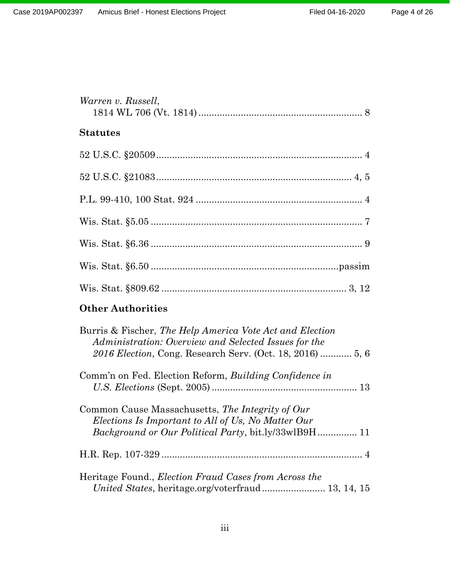| Warren v. Russell, |
|--------------------|
| <b>Statutes</b>    |
|                    |
|                    |
|                    |
|                    |
|                    |
|                    |
|                    |

# **Other Authorities**

| Burris & Fischer, The Help America Vote Act and Election<br>Administration: Overview and Selected Issues for the |
|------------------------------------------------------------------------------------------------------------------|
|                                                                                                                  |
| Comm'n on Fed. Election Reform, <i>Building Confidence in</i>                                                    |
|                                                                                                                  |
| Common Cause Massachusetts, The Integrity of Our                                                                 |
| Elections Is Important to All of Us, No Matter Our                                                               |
|                                                                                                                  |
|                                                                                                                  |
| Heritage Found., <i>Election Fraud Cases from Across the</i>                                                     |
| United States, heritage.org/voterfraud 13, 14, 15                                                                |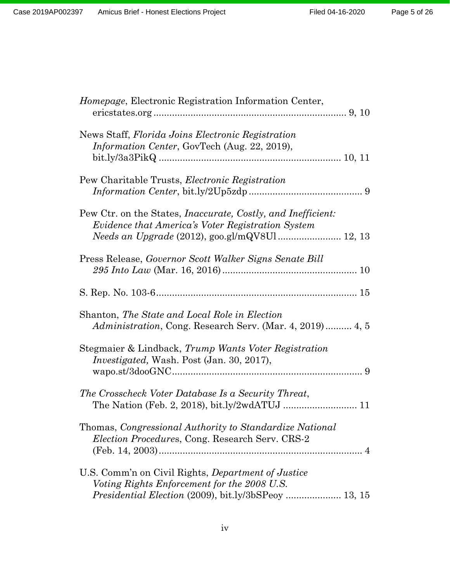| Homepage, Electronic Registration Information Center,                                                                                                                                             |
|---------------------------------------------------------------------------------------------------------------------------------------------------------------------------------------------------|
| News Staff, Florida Joins Electronic Registration<br><i>Information Center, GovTech (Aug. 22, 2019),</i>                                                                                          |
| Pew Charitable Trusts, <i>Electronic Registration</i>                                                                                                                                             |
| Pew Ctr. on the States, <i>Inaccurate</i> , <i>Costly</i> , <i>and Inefficient</i> :<br><i>Evidence that America's Voter Registration System</i><br>Needs an Upgrade (2012), goo.gl/mQV8Ul 12, 13 |
| Press Release, Governor Scott Walker Signs Senate Bill                                                                                                                                            |
|                                                                                                                                                                                                   |
| Shanton, The State and Local Role in Election<br><i>Administration</i> , Cong. Research Serv. (Mar. 4, 2019) 4, 5                                                                                 |
| Stegmaier & Lindback, Trump Wants Voter Registration<br>Investigated, Wash. Post (Jan. 30, 2017),                                                                                                 |
| The Crosscheck Voter Database Is a Security Threat,                                                                                                                                               |
| Thomas, Congressional Authority to Standardize National<br><i>Election Procedures, Cong. Research Serv. CRS-2</i>                                                                                 |
| U.S. Comm'n on Civil Rights, Department of Justice<br>Voting Rights Enforcement for the 2008 U.S.                                                                                                 |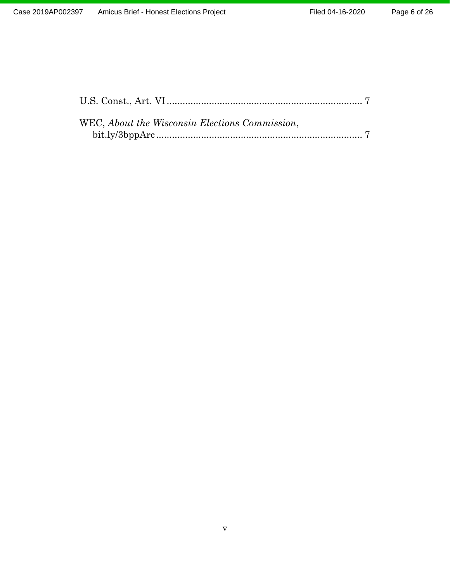| WEC, About the Wisconsin Elections Commission, |  |
|------------------------------------------------|--|
|                                                |  |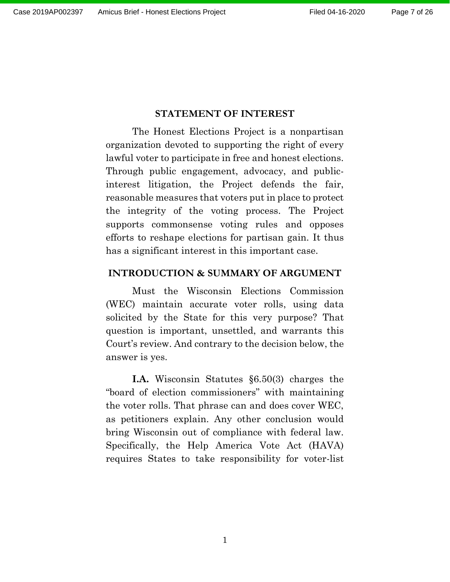#### **STATEMENT OF INTEREST**

<span id="page-6-0"></span>The Honest Elections Project is a nonpartisan organization devoted to supporting the right of every lawful voter to participate in free and honest elections. Through public engagement, advocacy, and publicinterest litigation, the Project defends the fair, reasonable measures that voters put in place to protect the integrity of the voting process. The Project supports commonsense voting rules and opposes efforts to reshape elections for partisan gain. It thus has a significant interest in this important case.

#### <span id="page-6-1"></span>**INTRODUCTION & SUMMARY OF ARGUMENT**

Must the Wisconsin Elections Commission (WEC) maintain accurate voter rolls, using data solicited by the State for this very purpose? That question is important, unsettled, and warrants this Court's review. And contrary to the decision below, the answer is yes.

**I.A.** Wisconsin Statutes §6.50(3) charges the "board of election commissioners" with maintaining the voter rolls. That phrase can and does cover WEC, as petitioners explain. Any other conclusion would bring Wisconsin out of compliance with federal law. Specifically, the Help America Vote Act (HAVA) requires States to take responsibility for voter-list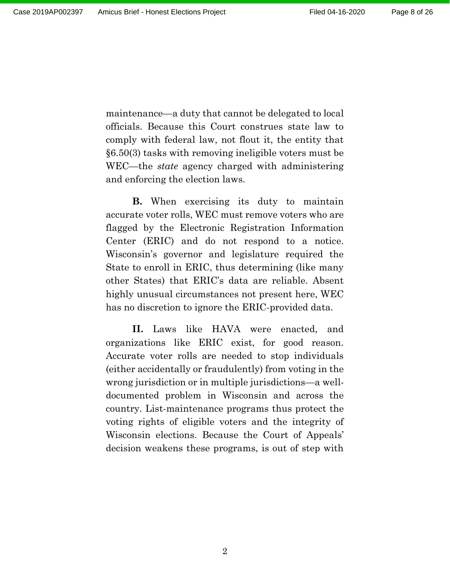maintenance—a duty that cannot be delegated to local officials. Because this Court construes state law to comply with federal law, not flout it, the entity that §6.50(3) tasks with removing ineligible voters must be WEC—the *state* agency charged with administering and enforcing the election laws.

**B.** When exercising its duty to maintain accurate voter rolls, WEC must remove voters who are flagged by the Electronic Registration Information Center (ERIC) and do not respond to a notice. Wisconsin's governor and legislature required the State to enroll in ERIC, thus determining (like many other States) that ERIC's data are reliable. Absent highly unusual circumstances not present here, WEC has no discretion to ignore the ERIC-provided data.

**II.** Laws like HAVA were enacted, and organizations like ERIC exist, for good reason. Accurate voter rolls are needed to stop individuals (either accidentally or fraudulently) from voting in the wrong jurisdiction or in multiple jurisdictions—a welldocumented problem in Wisconsin and across the country. List-maintenance programs thus protect the voting rights of eligible voters and the integrity of Wisconsin elections. Because the Court of Appeals' decision weakens these programs, is out of step with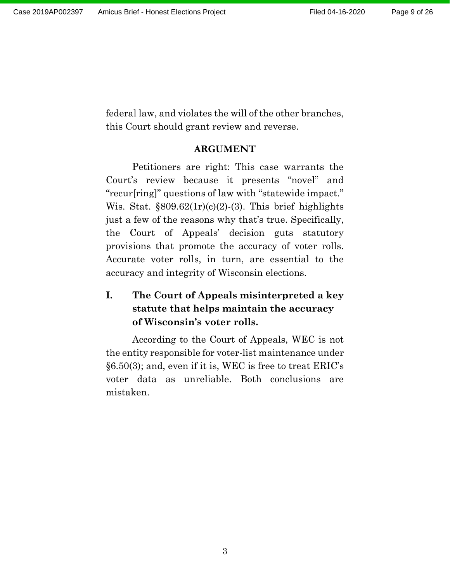federal law, and violates the will of the other branches, this Court should grant review and reverse.

### **ARGUMENT**

<span id="page-8-0"></span>Petitioners are right: This case warrants the Court's review because it presents "novel" and "recur[ring]" questions of law with "statewide impact." Wis. Stat.  $\S 809.62(1r)(c)(2)-(3)$ . This brief highlights just a few of the reasons why that's true. Specifically, the Court of Appeals' decision guts statutory provisions that promote the accuracy of voter rolls. Accurate voter rolls, in turn, are essential to the accuracy and integrity of Wisconsin elections.

# <span id="page-8-1"></span>**I. The Court of Appeals misinterpreted a key statute that helps maintain the accuracy of Wisconsin's voter rolls.**

According to the Court of Appeals, WEC is not the entity responsible for voter-list maintenance under §6.50(3); and, even if it is, WEC is free to treat ERIC's voter data as unreliable. Both conclusions are mistaken.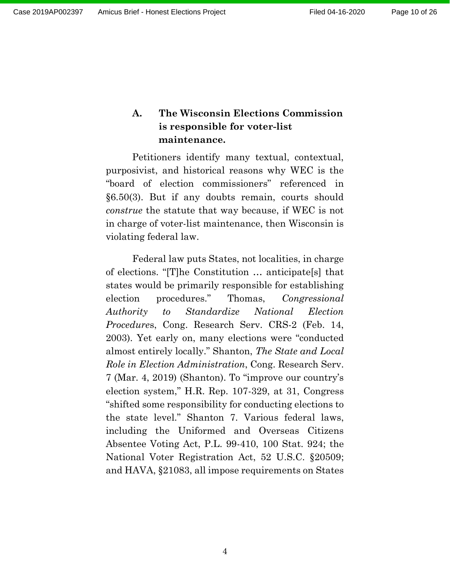## <span id="page-9-0"></span>**A. The Wisconsin Elections Commission is responsible for voter-list maintenance.**

Petitioners identify many textual, contextual, purposivist, and historical reasons why WEC is the "board of election commissioners" referenced in §6.50(3). But if any doubts remain, courts should *construe* the statute that way because, if WEC is not in charge of voter-list maintenance, then Wisconsin is violating federal law.

Federal law puts States, not localities, in charge of elections. "[T]he Constitution … anticipate[s] that states would be primarily responsible for establishing election procedures." Thomas, *Congressional Authority to Standardize National Election Procedure*s, Cong. Research Serv. CRS-2 (Feb. 14, 2003). Yet early on, many elections were "conducted almost entirely locally." Shanton, *The State and Local Role in Election Administration*, Cong. Research Serv. 7 (Mar. 4, 2019) (Shanton). To "improve our country's election system," H.R. Rep. 107-329, at 31, Congress "shifted some responsibility for conducting elections to the state level." Shanton 7. Various federal laws, including the Uniformed and Overseas Citizens Absentee Voting Act, P.L. 99-410, 100 Stat. 924; the National Voter Registration Act, 52 U.S.C. §20509; and HAVA, §21083, all impose requirements on States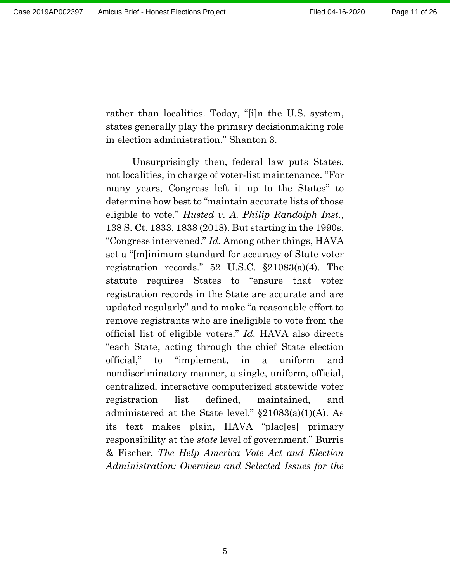rather than localities. Today, "[i]n the U.S. system, states generally play the primary decisionmaking role in election administration." Shanton 3.

Unsurprisingly then, federal law puts States, not localities, in charge of voter-list maintenance. "For many years, Congress left it up to the States" to determine how best to "maintain accurate lists of those eligible to vote." *Husted v. A. Philip Randolph Inst.*, 138 S. Ct. 1833, 1838 (2018). But starting in the 1990s, "Congress intervened." *Id.* Among other things, HAVA set a "[m]inimum standard for accuracy of State voter registration records." 52 U.S.C. §21083(a)(4). The statute requires States to "ensure that voter registration records in the State are accurate and are updated regularly" and to make "a reasonable effort to remove registrants who are ineligible to vote from the official list of eligible voters." *Id.* HAVA also directs "each State, acting through the chief State election official," to "implement, in a uniform and nondiscriminatory manner, a single, uniform, official, centralized, interactive computerized statewide voter registration list defined, maintained, and administered at the State level." §21083(a)(1)(A). As its text makes plain, HAVA "plac[es] primary responsibility at the *state* level of government." Burris & Fischer, *The Help America Vote Act and Election Administration: Overview and Selected Issues for the*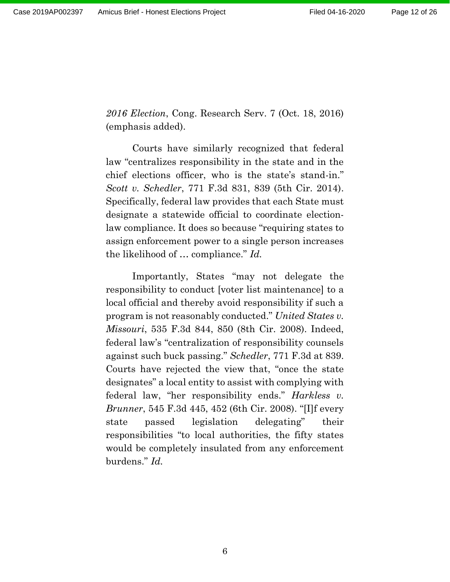*2016 Election*, Cong. Research Serv. 7 (Oct. 18, 2016) (emphasis added).

Courts have similarly recognized that federal law "centralizes responsibility in the state and in the chief elections officer, who is the state's stand-in." *Scott v. Schedler*, 771 F.3d 831, 839 (5th Cir. 2014). Specifically, federal law provides that each State must designate a statewide official to coordinate electionlaw compliance. It does so because "requiring states to assign enforcement power to a single person increases the likelihood of … compliance." *Id.*

Importantly, States "may not delegate the responsibility to conduct [voter list maintenance] to a local official and thereby avoid responsibility if such a program is not reasonably conducted." *United States v. Missouri*, 535 F.3d 844, 850 (8th Cir. 2008). Indeed, federal law's "centralization of responsibility counsels against such buck passing." *Schedler*, 771 F.3d at 839. Courts have rejected the view that, "once the state designates" a local entity to assist with complying with federal law, "her responsibility ends." *Harkless v. Brunner*, 545 F.3d 445, 452 (6th Cir. 2008). "[I]f every state passed legislation delegating" their responsibilities "to local authorities, the fifty states would be completely insulated from any enforcement burdens." *Id.*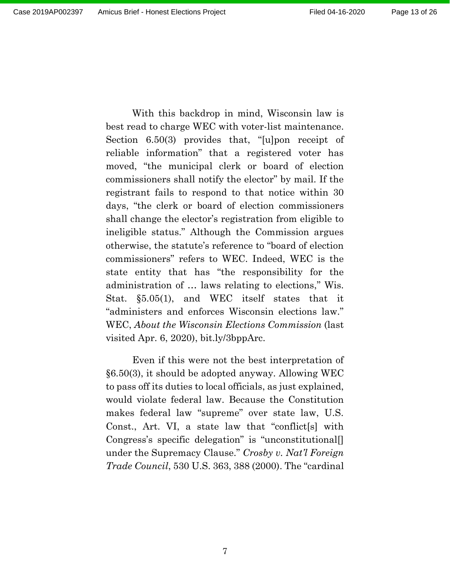With this backdrop in mind, Wisconsin law is best read to charge WEC with voter-list maintenance. Section 6.50(3) provides that, "[u]pon receipt of reliable information" that a registered voter has moved, "the municipal clerk or board of election commissioners shall notify the elector" by mail. If the registrant fails to respond to that notice within 30 days, "the clerk or board of election commissioners shall change the elector's registration from eligible to ineligible status." Although the Commission argues otherwise, the statute's reference to "board of election commissioners" refers to WEC. Indeed, WEC is the state entity that has "the responsibility for the administration of … laws relating to elections," Wis. Stat. §5.05(1), and WEC itself states that it "administers and enforces Wisconsin elections law." WEC, *About the Wisconsin Elections Commission* (last visited Apr. 6, 2020), bit.ly/3bppArc.

Even if this were not the best interpretation of §6.50(3), it should be adopted anyway. Allowing WEC to pass off its duties to local officials, as just explained, would violate federal law. Because the Constitution makes federal law "supreme" over state law, U.S. Const., Art. VI, a state law that "conflict[s] with Congress's specific delegation" is "unconstitutional[] under the Supremacy Clause." *Crosby v. Nat'l Foreign Trade Council*, 530 U.S. 363, 388 (2000). The "cardinal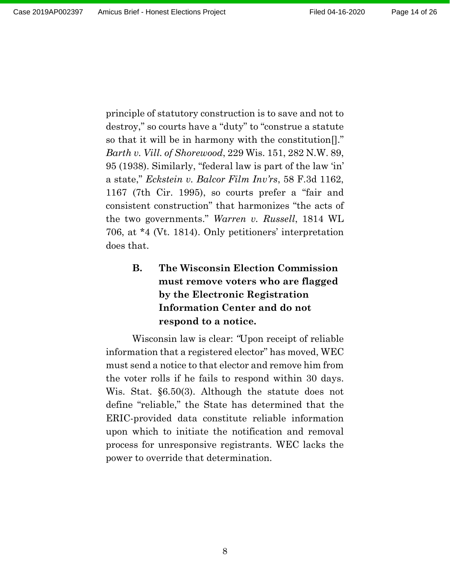principle of statutory construction is to save and not to destroy," so courts have a "duty" to "construe a statute so that it will be in harmony with the constitution[]." *Barth v. Vill. of Shorewood*, 229 Wis. 151, 282 N.W. 89, 95 (1938). Similarly, "federal law is part of the law 'in' a state," *Eckstein v. Balcor Film Inv'rs*, 58 F.3d 1162, 1167 (7th Cir. 1995), so courts prefer a "fair and consistent construction" that harmonizes "the acts of the two governments." *Warren v. Russell*, 1814 WL 706, at \*4 (Vt. 1814). Only petitioners' interpretation does that.

# <span id="page-13-0"></span>**B. The Wisconsin Election Commission must remove voters who are flagged by the Electronic Registration Information Center and do not respond to a notice.**

Wisconsin law is clear: *"*Upon receipt of reliable information that a registered elector" has moved, WEC must send a notice to that elector and remove him from the voter rolls if he fails to respond within 30 days. Wis. Stat. §6.50(3). Although the statute does not define "reliable," the State has determined that the ERIC-provided data constitute reliable information upon which to initiate the notification and removal process for unresponsive registrants. WEC lacks the power to override that determination.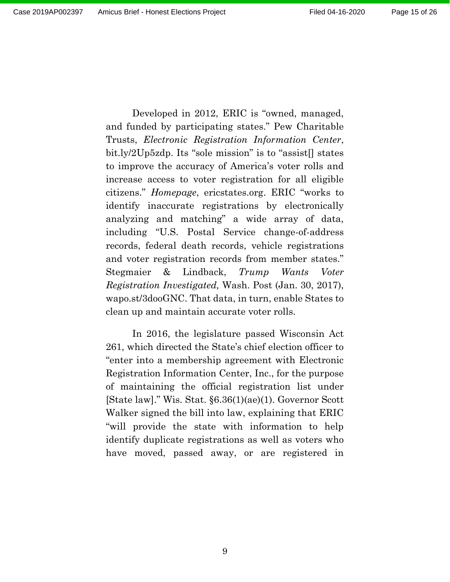Developed in 2012, ERIC is "owned, managed, and funded by participating states." Pew Charitable Trusts, *Electronic Registration Information Center*, bit.ly/2Up5zdp. Its "sole mission" is to "assist[] states to improve the accuracy of America's voter rolls and increase access to voter registration for all eligible citizens." *Homepage*, ericstates.org. ERIC "works to identify inaccurate registrations by electronically analyzing and matching" a wide array of data, including "U.S. Postal Service change-of-address records, federal death records, vehicle registrations and voter registration records from member states." Stegmaier & Lindback, *Trump Wants Voter Registration Investigated,* Wash. Post (Jan. 30, 2017), wapo.st/3dooGNC. That data, in turn, enable States to clean up and maintain accurate voter rolls.

In 2016, the legislature passed Wisconsin Act 261, which directed the State's chief election officer to "enter into a membership agreement with Electronic Registration Information Center, Inc., for the purpose of maintaining the official registration list under [State law]." Wis. Stat. §6.36(1)(ae)(1). Governor Scott Walker signed the bill into law, explaining that ERIC "will provide the state with information to help identify duplicate registrations as well as voters who have moved, passed away, or are registered in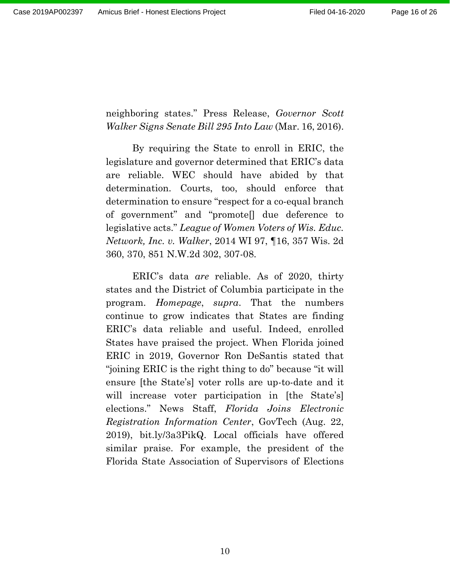neighboring states." Press Release, *Governor Scott Walker Signs Senate Bill 295 Into Law* (Mar. 16, 2016).

By requiring the State to enroll in ERIC, the legislature and governor determined that ERIC's data are reliable. WEC should have abided by that determination. Courts, too, should enforce that determination to ensure "respect for a co-equal branch of government" and "promote[] due deference to legislative acts." *League of Women Voters of Wis. Educ. Network, Inc. v. Walker*, 2014 WI 97, ¶16, 357 Wis. 2d 360, 370, 851 N.W.2d 302, 307-08.

ERIC's data *are* reliable. As of 2020, thirty states and the District of Columbia participate in the program. *Homepage*, *supra*. That the numbers continue to grow indicates that States are finding ERIC's data reliable and useful. Indeed, enrolled States have praised the project. When Florida joined ERIC in 2019, Governor Ron DeSantis stated that "joining ERIC is the right thing to do" because "it will ensure [the State's] voter rolls are up-to-date and it will increase voter participation in [the State's] elections." News Staff, *Florida Joins Electronic Registration Information Center*, GovTech (Aug. 22, 2019), bit.ly/3a3PikQ. Local officials have offered similar praise. For example, the president of the Florida State Association of Supervisors of Elections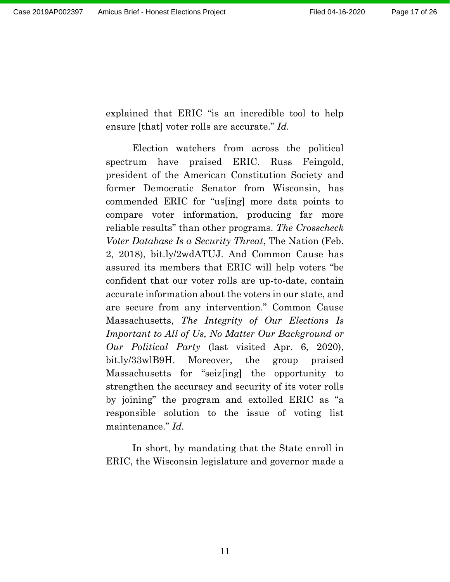explained that ERIC "is an incredible tool to help ensure [that] voter rolls are accurate." *Id.*

Election watchers from across the political spectrum have praised ERIC. Russ Feingold, president of the American Constitution Society and former Democratic Senator from Wisconsin, has commended ERIC for "us[ing] more data points to compare voter information, producing far more reliable results" than other programs. *The Crosscheck Voter Database Is a Security Threat*, The Nation (Feb. 2, 2018), bit.ly/2wdATUJ. And Common Cause has assured its members that ERIC will help voters "be confident that our voter rolls are up-to-date, contain accurate information about the voters in our state, and are secure from any intervention." Common Cause Massachusetts, *The Integrity of Our Elections Is Important to All of Us, No Matter Our Background or Our Political Party* (last visited Apr. 6, 2020), bit.ly/33wlB9H. Moreover, the group praised Massachusetts for "seiz[ing] the opportunity to strengthen the accuracy and security of its voter rolls by joining" the program and extolled ERIC as "a responsible solution to the issue of voting list maintenance." *Id.*

In short, by mandating that the State enroll in ERIC, the Wisconsin legislature and governor made a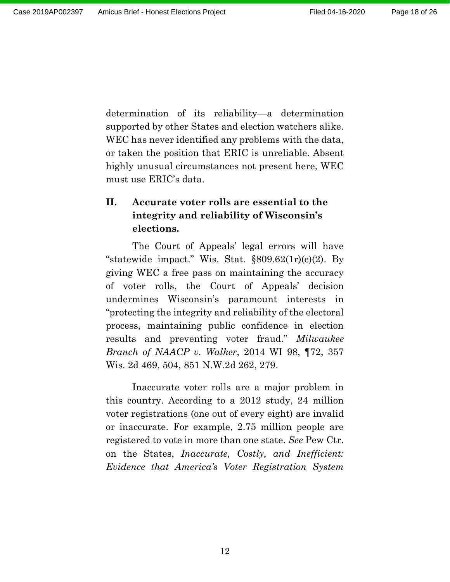determination of its reliability—a determination supported by other States and election watchers alike. WEC has never identified any problems with the data, or taken the position that ERIC is unreliable. Absent highly unusual circumstances not present here, WEC must use ERIC's data.

# <span id="page-17-0"></span>**II. Accurate voter rolls are essential to the integrity and reliability of Wisconsin's elections.**

The Court of Appeals' legal errors will have "statewide impact." Wis. Stat.  $\S 809.62(1r)(c)(2)$ . By giving WEC a free pass on maintaining the accuracy of voter rolls, the Court of Appeals' decision undermines Wisconsin's paramount interests in "protecting the integrity and reliability of the electoral process, maintaining public confidence in election results and preventing voter fraud." *Milwaukee Branch of NAACP v. Walker*, 2014 WI 98, ¶72, 357 Wis. 2d 469, 504, 851 N.W.2d 262, 279.

Inaccurate voter rolls are a major problem in this country. According to a 2012 study, 24 million voter registrations (one out of every eight) are invalid or inaccurate. For example, 2.75 million people are registered to vote in more than one state. *See* Pew Ctr. on the States, *Inaccurate, Costly, and Inefficient: Evidence that America's Voter Registration System*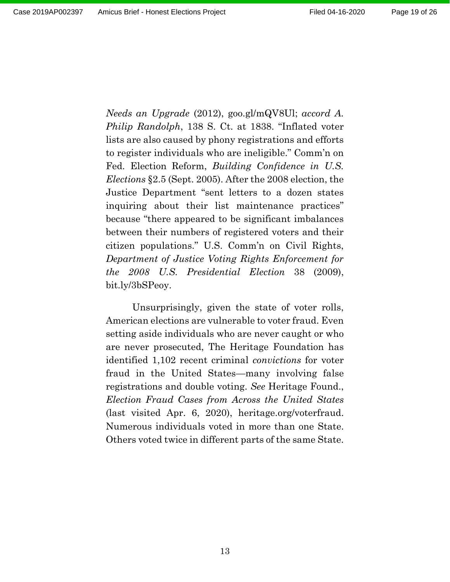*Needs an Upgrade* (2012), goo.gl/mQV8Ul; *accord A. Philip Randolph*, 138 S. Ct. at 1838. "Inflated voter lists are also caused by phony registrations and efforts to register individuals who are ineligible." Comm'n on Fed. Election Reform, *Building Confidence in U.S. Elections* §2.5 (Sept. 2005). After the 2008 election, the Justice Department "sent letters to a dozen states inquiring about their list maintenance practices" because "there appeared to be significant imbalances between their numbers of registered voters and their citizen populations." U.S. Comm'n on Civil Rights, *Department of Justice Voting Rights Enforcement for the 2008 U.S. Presidential Election* 38 (2009), bit.ly/3bSPeoy.

Unsurprisingly, given the state of voter rolls, American elections are vulnerable to voter fraud. Even setting aside individuals who are never caught or who are never prosecuted, The Heritage Foundation has identified 1,102 recent criminal *convictions* for voter fraud in the United States—many involving false registrations and double voting. *See* Heritage Found., *Election Fraud Cases from Across the United States* (last visited Apr. 6, 2020), heritage.org/voterfraud. Numerous individuals voted in more than one State. Others voted twice in different parts of the same State.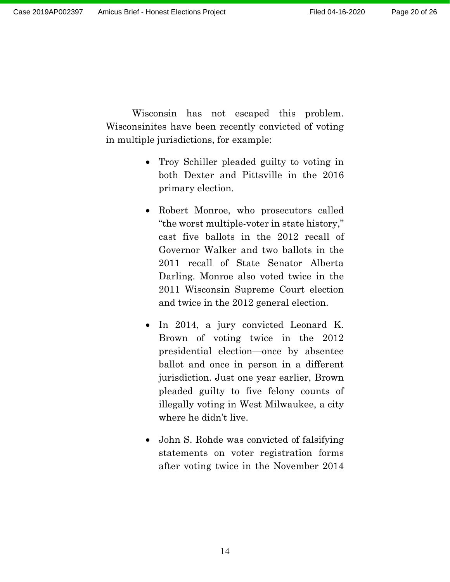Wisconsin has not escaped this problem. Wisconsinites have been recently convicted of voting in multiple jurisdictions, for example:

- Troy Schiller pleaded guilty to voting in both Dexter and Pittsville in the 2016 primary election.
- Robert Monroe, who prosecutors called "the worst multiple-voter in state history," cast five ballots in the 2012 recall of Governor Walker and two ballots in the 2011 recall of State Senator Alberta Darling. Monroe also voted twice in the 2011 Wisconsin Supreme Court election and twice in the 2012 general election.
- In 2014, a jury convicted Leonard K. Brown of voting twice in the 2012 presidential election—once by absentee ballot and once in person in a different jurisdiction. Just one year earlier, Brown pleaded guilty to five felony counts of illegally voting in West Milwaukee, a city where he didn't live.
- John S. Rohde was convicted of falsifying statements on voter registration forms after voting twice in the November 2014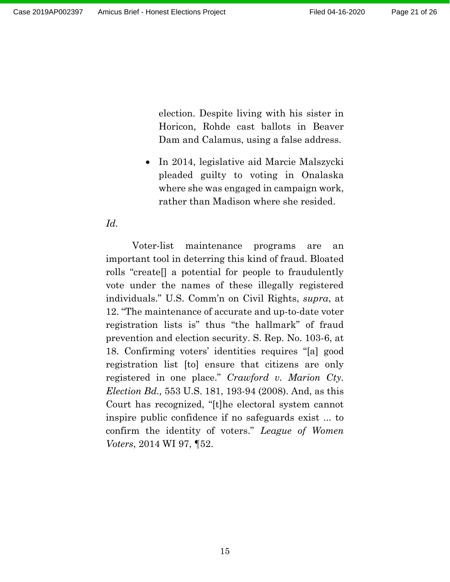election. Despite living with his sister in Horicon, Rohde cast ballots in Beaver Dam and Calamus, using a false address.

• In 2014, legislative aid Marcie Malszycki pleaded guilty to voting in Onalaska where she was engaged in campaign work, rather than Madison where she resided.

### *Id.*

Voter-list maintenance programs are an important tool in deterring this kind of fraud. Bloated rolls "create[] a potential for people to fraudulently vote under the names of these illegally registered individuals." U.S. Comm'n on Civil Rights, *supra*, at 12. "The maintenance of accurate and up-to-date voter registration lists is" thus "the hallmark" of fraud prevention and election security. S. Rep. No. 103-6, at 18. Confirming voters' identities requires "[a] good registration list [to] ensure that citizens are only registered in one place." *Crawford v. Marion Cty. Election Bd.,* 553 U.S. 181, 193-94 (2008). And, as this Court has recognized, "[t]he electoral system cannot inspire public confidence if no safeguards exist ... to confirm the identity of voters." *League of Women Voters*, 2014 WI 97, ¶52.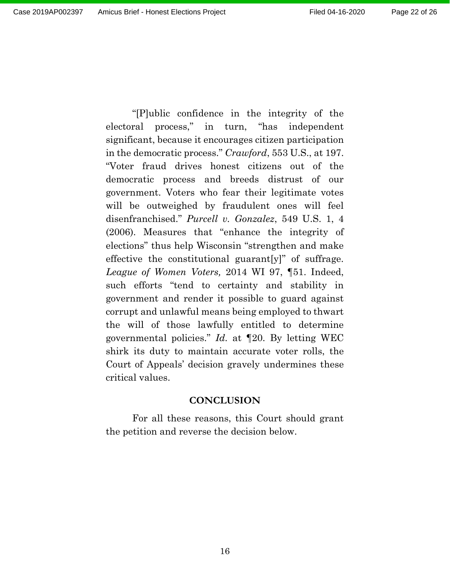"[P]ublic confidence in the integrity of the electoral process," in turn, "has independent significant, because it encourages citizen participation in the democratic process." *Crawford*, 553 U.S., at 197. "Voter fraud drives honest citizens out of the democratic process and breeds distrust of our government. Voters who fear their legitimate votes will be outweighed by fraudulent ones will feel disenfranchised." *Purcell v. Gonzalez*, 549 U.S. 1, 4 (2006). Measures that "enhance the integrity of elections" thus help Wisconsin "strengthen and make effective the constitutional guarant[y]" of suffrage. *League of Women Voters,* 2014 WI 97, ¶51. Indeed, such efforts "tend to certainty and stability in government and render it possible to guard against corrupt and unlawful means being employed to thwart the will of those lawfully entitled to determine governmental policies." *Id.* at ¶20. By letting WEC shirk its duty to maintain accurate voter rolls, the Court of Appeals' decision gravely undermines these critical values.

#### **CONCLUSION**

<span id="page-21-0"></span>For all these reasons, this Court should grant the petition and reverse the decision below.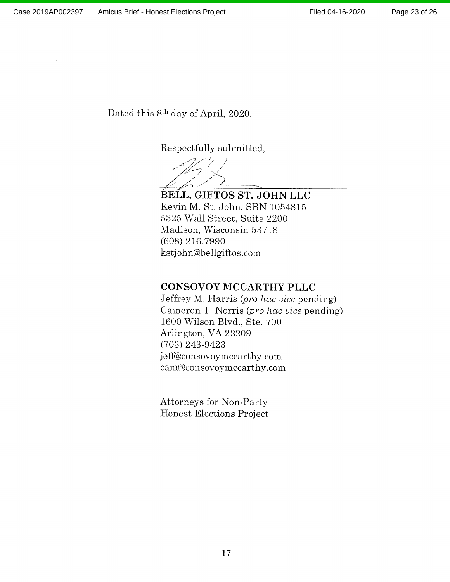Dated this 8<sup>th</sup> day of April, 2020.

Respectfully submitted,

BELL, GIFTOS ST. JOHN LLC Kevin M. St. John, SBN 1054815 5325 Wall Street, Suite 2200 Madison, Wisconsin 53718 (608) 216.7990 kstjohn@bellgiftos.com

### **CONSOVOY MCCARTHY PLLC**

Jeffrey M. Harris (pro hac vice pending) Cameron T. Norris (pro hac vice pending) 1600 Wilson Blvd., Ste. 700 Arlington, VA 22209  $(703)$  243-9423 jeff@consovoymccarthy.com cam@consovoymccarthy.com

**Attorneys for Non-Party** Honest Elections Project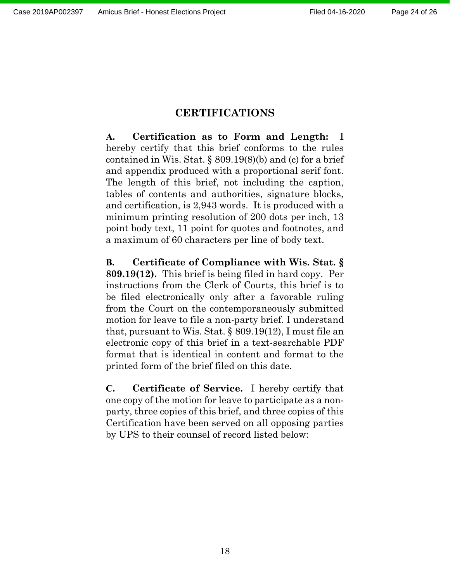### **CERTIFICATIONS**

**A. Certification as to Form and Length:** I hereby certify that this brief conforms to the rules contained in Wis. Stat. § 809.19(8)(b) and (c) for a brief and appendix produced with a proportional serif font. The length of this brief, not including the caption, tables of contents and authorities, signature blocks, and certification, is 2,943 words. It is produced with a minimum printing resolution of 200 dots per inch, 13 point body text, 11 point for quotes and footnotes, and a maximum of 60 characters per line of body text.

**B. Certificate of Compliance with Wis. Stat. § 809.19(12).** This brief is being filed in hard copy. Per instructions from the Clerk of Courts, this brief is to be filed electronically only after a favorable ruling from the Court on the contemporaneously submitted motion for leave to file a non-party brief. I understand that, pursuant to Wis. Stat. § 809.19(12), I must file an electronic copy of this brief in a text-searchable PDF format that is identical in content and format to the printed form of the brief filed on this date.

**C. Certificate of Service.** I hereby certify that one copy of the motion for leave to participate as a nonparty, three copies of this brief, and three copies of this Certification have been served on all opposing parties by UPS to their counsel of record listed below: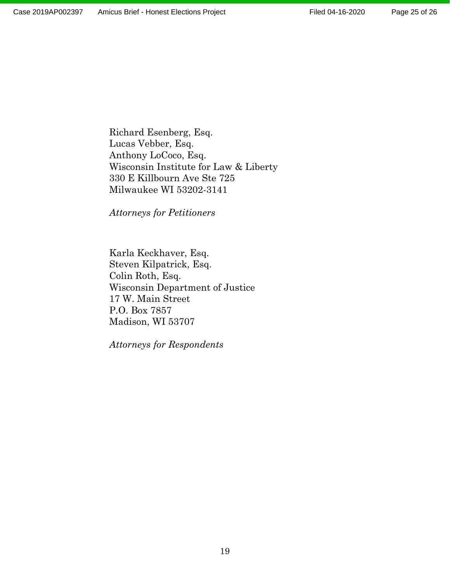Richard Esenberg, Esq. Lucas Vebber, Esq. Anthony LoCoco, Esq. Wisconsin Institute for Law & Liberty 330 E Killbourn Ave Ste 725 Milwaukee WI 53202-3141

*Attorneys for Petitioners*

Karla Keckhaver, Esq. Steven Kilpatrick, Esq. Colin Roth, Esq. Wisconsin Department of Justice 17 W. Main Street P.O. Box 7857 Madison, WI 53707

*Attorneys for Respondents*